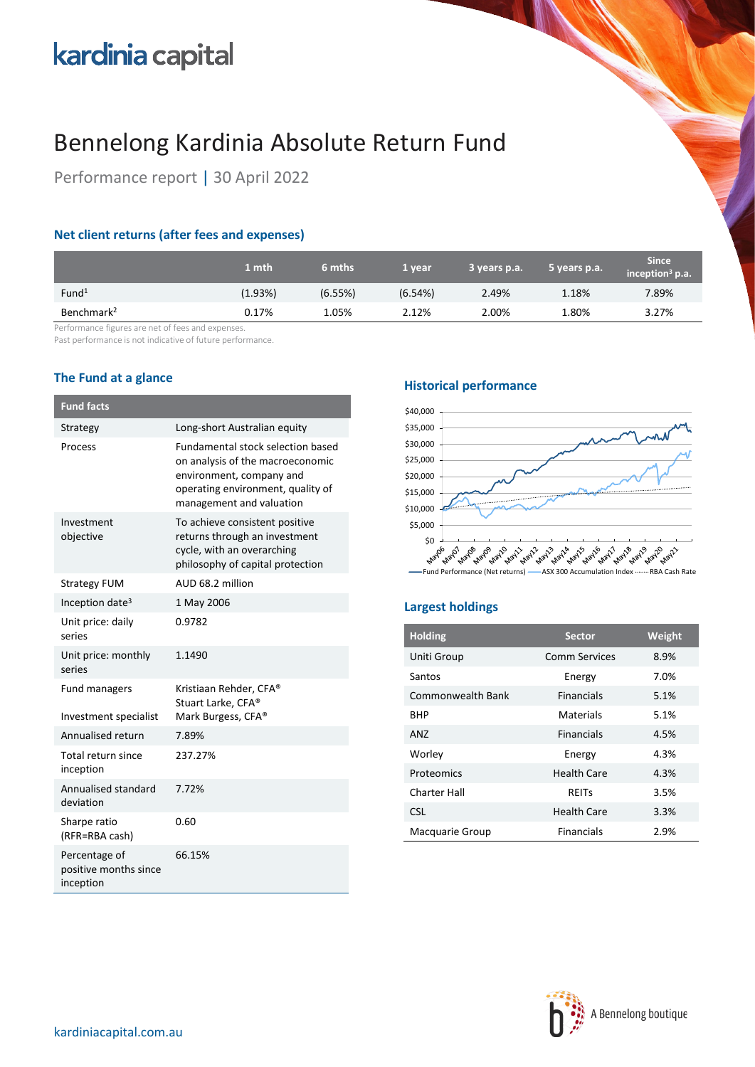# kardinia capital

## Bennelong Kardinia Absolute Return Fund

Performance report | 30 April 2022

## **Net client returns (after fees and expenses)**

|                        | 1 mth   | 6 mths  | 1 year  | 3 years p.a. | 5 years p.a. | <b>Since</b><br>inception <sup>3</sup> p.a. |
|------------------------|---------|---------|---------|--------------|--------------|---------------------------------------------|
| Fund <sup>1</sup>      | (1.93%) | (6.55%) | (6.54%) | 2.49%        | 1.18%        | 7.89%                                       |
| Benchmark <sup>2</sup> | 0.17%   | 1.05%   | 2.12%   | 2.00%        | 1.80%        | 3.27%                                       |

Performance figures are net of fees and expenses.

Past performance is not indicative of future performance.

## **The Fund at a glance**

| <b>Fund facts</b>                                   |                                                                                                                                                                           |
|-----------------------------------------------------|---------------------------------------------------------------------------------------------------------------------------------------------------------------------------|
| Strategy                                            | Long-short Australian equity                                                                                                                                              |
| Process                                             | <b>Fundamental stock selection based</b><br>on analysis of the macroeconomic<br>environment, company and<br>operating environment, quality of<br>management and valuation |
| Investment<br>objective                             | To achieve consistent positive<br>returns through an investment<br>cycle, with an overarching<br>philosophy of capital protection                                         |
| <b>Strategy FUM</b>                                 | AUD 68.2 million                                                                                                                                                          |
| Inception date <sup>3</sup>                         | 1 May 2006                                                                                                                                                                |
| Unit price: daily<br>series                         | 0.9782                                                                                                                                                                    |
| Unit price: monthly<br>series                       | 1.1490                                                                                                                                                                    |
| Fund managers<br>Investment specialist              | Kristiaan Rehder, CFA®<br>Stuart Larke, CFA®<br>Mark Burgess, CFA®                                                                                                        |
| Annualised return                                   | 7.89%                                                                                                                                                                     |
| Total return since<br>inception                     | 237.27%                                                                                                                                                                   |
| Annualised standard<br>deviation                    | 7.72%                                                                                                                                                                     |
| Sharpe ratio<br>(RFR=RBA cash)                      | 0.60                                                                                                                                                                      |
| Percentage of<br>positive months since<br>inception | 66.15%                                                                                                                                                                    |

### **Historical performance**



## **Largest holdings**

| <b>Holding</b>    | <b>Sector</b>      | Weight |
|-------------------|--------------------|--------|
| Uniti Group       | Comm Services      | 8.9%   |
| Santos            | Energy             | 7.0%   |
| Commonwealth Bank | <b>Financials</b>  | 5.1%   |
| <b>BHP</b>        | Materials          | 5.1%   |
| AN7               | <b>Financials</b>  | 4.5%   |
| Worley            | Energy             | 4.3%   |
| Proteomics        | <b>Health Care</b> | 4.3%   |
| Charter Hall      | REITS              | 3.5%   |
| <b>CSL</b>        | <b>Health Care</b> | 3.3%   |
| Macquarie Group   | <b>Financials</b>  | 2.9%   |

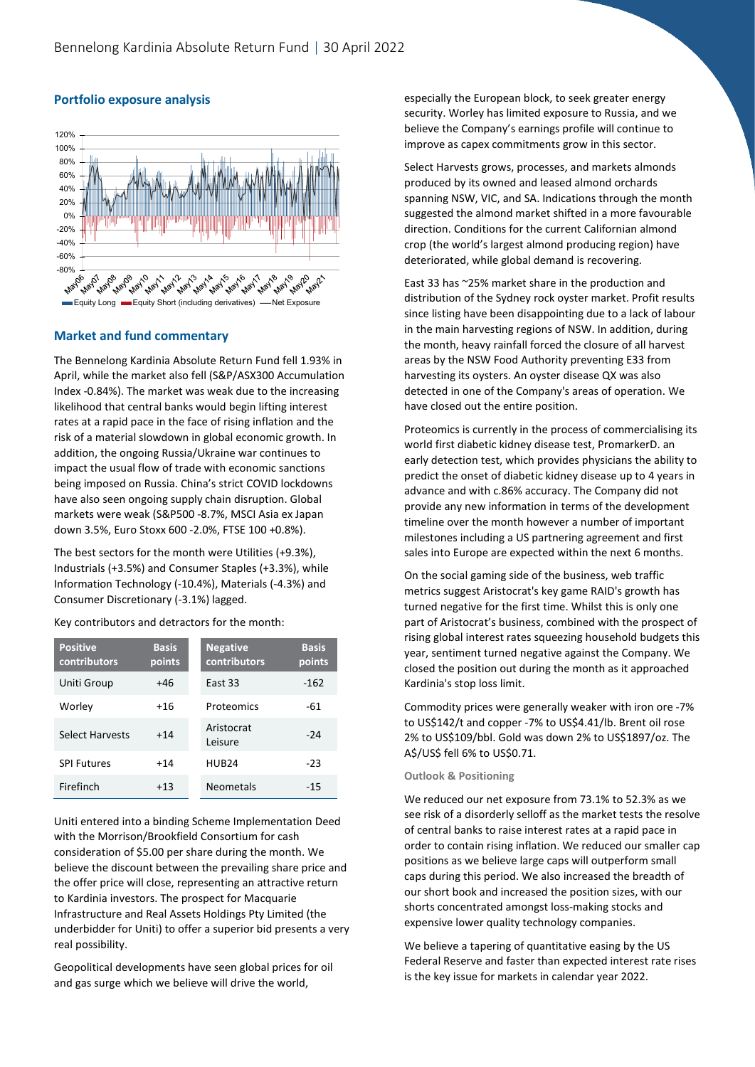

#### **Portfolio exposure analysis**

#### **Market and fund commentary**

The Bennelong Kardinia Absolute Return Fund fell 1.93% in April, while the market also fell (S&P/ASX300 Accumulation Index -0.84%). The market was weak due to the increasing likelihood that central banks would begin lifting interest rates at a rapid pace in the face of rising inflation and the risk of a material slowdown in global economic growth. In addition, the ongoing Russia/Ukraine war continues to impact the usual flow of trade with economic sanctions being imposed on Russia. China's strict COVID lockdowns have also seen ongoing supply chain disruption. Global markets were weak (S&P500 -8.7%, MSCI Asia ex Japan down 3.5%, Euro Stoxx 600 -2.0%, FTSE 100 +0.8%).

The best sectors for the month were Utilities (+9.3%), Industrials (+3.5%) and Consumer Staples (+3.3%), while Information Technology (-10.4%), Materials (-4.3%) and Consumer Discretionary (-3.1%) lagged.

Key contributors and detractors for the month:

| <b>Positive</b><br>contributors | <b>Basis</b><br>points | <b>Negative</b><br>contributors | <b>Basis</b><br>points |
|---------------------------------|------------------------|---------------------------------|------------------------|
| Uniti Group                     | +46                    | East 33                         | $-162$                 |
| Worley                          | +16                    | Proteomics                      | -61                    |
| Select Harvests                 | $+14$                  | Aristocrat<br>Leisure           | $-24$                  |
| <b>SPI Futures</b>              | $+14$                  | HUR <sub>24</sub>               | $-23$                  |
| Firefinch                       | $+13$                  | <b>Neometals</b>                | $-15$                  |

Uniti entered into a binding Scheme Implementation Deed with the Morrison/Brookfield Consortium for cash consideration of \$5.00 per share during the month. We believe the discount between the prevailing share price and the offer price will close, representing an attractive return to Kardinia investors. The prospect for Macquarie Infrastructure and Real Assets Holdings Pty Limited (the underbidder for Uniti) to offer a superior bid presents a very real possibility.

Geopolitical developments have seen global prices for oil and gas surge which we believe will drive the world,

especially the European block, to seek greater energy security. Worley has limited exposure to Russia, and we believe the Company's earnings profile will continue to improve as capex commitments grow in this sector.

Select Harvests grows, processes, and markets almonds produced by its owned and leased almond orchards spanning NSW, VIC, and SA. Indications through the month suggested the almond market shifted in a more favourable direction. Conditions for the current Californian almond crop (the world's largest almond producing region) have deteriorated, while global demand is recovering.

East 33 has ~25% market share in the production and distribution of the Sydney rock oyster market. Profit results since listing have been disappointing due to a lack of labour in the main harvesting regions of NSW. In addition, during the month, heavy rainfall forced the closure of all harvest areas by the NSW Food Authority preventing E33 from harvesting its oysters. An oyster disease QX was also detected in one of the Company's areas of operation. We have closed out the entire position.

Proteomics is currently in the process of commercialising its world first diabetic kidney disease test, PromarkerD. an early detection test, which provides physicians the ability to predict the onset of diabetic kidney disease up to 4 years in advance and with c.86% accuracy. The Company did not provide any new information in terms of the development timeline over the month however a number of important milestones including a US partnering agreement and first sales into Europe are expected within the next 6 months.

On the social gaming side of the business, web traffic metrics suggest Aristocrat's key game RAID's growth has turned negative for the first time. Whilst this is only one part of Aristocrat's business, combined with the prospect of rising global interest rates squeezing household budgets this year, sentiment turned negative against the Company. We closed the position out during the month as it approached Kardinia's stop loss limit.

Commodity prices were generally weaker with iron ore -7% to US\$142/t and copper -7% to US\$4.41/lb. Brent oil rose 2% to US\$109/bbl. Gold was down 2% to US\$1897/oz. The A\$/US\$ fell 6% to US\$0.71.

#### **Outlook & Positioning**

We reduced our net exposure from 73.1% to 52.3% as we see risk of a disorderly selloff as the market tests the resolve of central banks to raise interest rates at a rapid pace in order to contain rising inflation. We reduced our smaller cap positions as we believe large caps will outperform small caps during this period. We also increased the breadth of our short book and increased the position sizes, with our shorts concentrated amongst loss-making stocks and expensive lower quality technology companies.

We believe a tapering of quantitative easing by the US Federal Reserve and faster than expected interest rate rises is the key issue for markets in calendar year 2022.